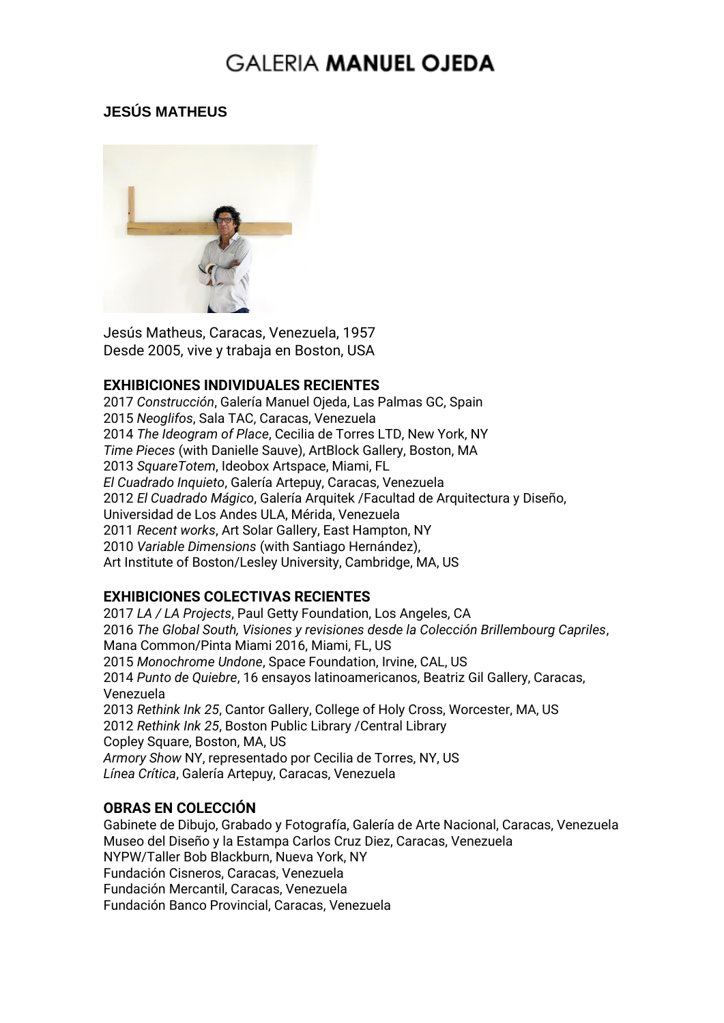### **JESÚS MATHEUS**



Jesús Matheus, Caracas, Venezuela, 1957 Desde 2005, vive y trabaja en Boston, USA

#### **EXHIBICIONES INDIVIDUALES RECIENTES**

*Construcción*, Galería Manuel Ojeda, Las Palmas GC, Spain *Neoglifos*, Sala TAC, Caracas, Venezuela *The Ideogram of Place*, Cecilia de Torres LTD, New York, NY *Time Pieces* (with Danielle Sauve), ArtBlock Gallery, Boston, MA *SquareTotem*, Ideobox Artspace, Miami, FL *El Cuadrado Inquieto*, Galería Artepuy, Caracas, Venezuela *El Cuadrado Mágico*, Galería Arquitek /Facultad de Arquitectura y Diseño, Universidad de Los Andes ULA, Mérida, Venezuela *Recent works*, Art Solar Gallery, East Hampton, NY *Variable Dimensions* (with Santiago Hernández), Art Institute of Boston/Lesley University, Cambridge, MA, US

### **EXHIBICIONES COLECTIVAS RECIENTES**

2017 *LA / LA Projects*, Paul Getty Foundation, Los Angeles, CA 2016 *The Global South, Visiones y revisiones desde la Colección Brillembourg Capriles*, Mana Common/Pinta Miami 2016, Miami, FL, US 2015 *Monochrome Undone*, Space Foundation, Irvine, CAL, US 2014 *Punto de Quiebre*, 16 ensayos latinoamericanos, Beatriz Gil Gallery, Caracas, Venezuela 2013 *Rethink Ink 25*, Cantor Gallery, College of Holy Cross, Worcester, MA, US 2012 *Rethink Ink 25*, Boston Public Library /Central Library Copley Square, Boston, MA, US *Armory Show* NY, representado por Cecilia de Torres, NY, US *Línea Crítica*, Galería Artepuy, Caracas, Venezuela

#### **OBRAS EN COLECCIÓN**

Gabinete de Dibujo, Grabado y Fotografía, Galería de Arte Nacional, Caracas, Venezuela Museo del Diseño y la Estampa Carlos Cruz Diez, Caracas, Venezuela NYPW/Taller Bob Blackburn, Nueva York, NY Fundación Cisneros, Caracas, Venezuela Fundación Mercantil, Caracas, Venezuela Fundación Banco Provincial, Caracas, Venezuela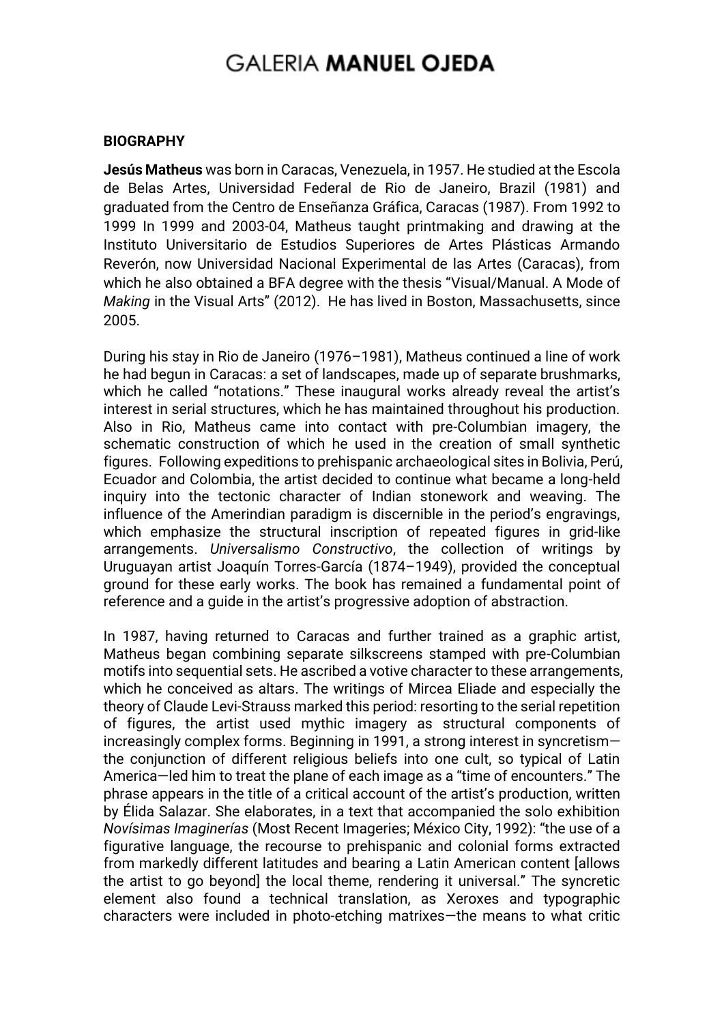#### **BIOGRAPHY**

**Jesús Matheus** was born in Caracas, Venezuela, in 1957. He studied at the Escola de Belas Artes, Universidad Federal de Rio de Janeiro, Brazil (1981) and graduated from the Centro de Enseñanza Gráfica, Caracas (1987). From 1992 to 1999 In 1999 and 2003-04, Matheus taught printmaking and drawing at the Instituto Universitario de Estudios Superiores de Artes Plásticas Armando Reverón, now Universidad Nacional Experimental de las Artes (Caracas), from which he also obtained a BFA degree with the thesis "Visual/Manual. A Mode of *Making* in the Visual Arts" (2012). He has lived in Boston, Massachusetts, since 2005.

During his stay in Rio de Janeiro (1976–1981), Matheus continued a line of work he had begun in Caracas: a set of landscapes, made up of separate brushmarks, which he called "notations." These inaugural works already reveal the artist's interest in serial structures, which he has maintained throughout his production. Also in Rio, Matheus came into contact with pre-Columbian imagery, the schematic construction of which he used in the creation of small synthetic figures. Following expeditions to prehispanic archaeological sites in Bolivia, Perú, Ecuador and Colombia, the artist decided to continue what became a long-held inquiry into the tectonic character of Indian stonework and weaving. The influence of the Amerindian paradigm is discernible in the period's engravings, which emphasize the structural inscription of repeated figures in grid-like arrangements. *Universalismo Constructivo*, the collection of writings by Uruguayan artist Joaquín Torres-García (1874–1949), provided the conceptual ground for these early works. The book has remained a fundamental point of reference and a guide in the artist's progressive adoption of abstraction.

In 1987, having returned to Caracas and further trained as a graphic artist, Matheus began combining separate silkscreens stamped with pre-Columbian motifs into sequential sets. He ascribed a votive character to these arrangements, which he conceived as altars. The writings of Mircea Eliade and especially the theory of Claude Levi-Strauss marked this period: resorting to the serial repetition of figures, the artist used mythic imagery as structural components of increasingly complex forms. Beginning in 1991, a strong interest in syncretism the conjunction of different religious beliefs into one cult, so typical of Latin America—led him to treat the plane of each image as a "time of encounters." The phrase appears in the title of a critical account of the artist's production, written by Élida Salazar. She elaborates, in a text that accompanied the solo exhibition *Novísimas Imaginerías* (Most Recent Imageries; México City, 1992): "the use of a figurative language, the recourse to prehispanic and colonial forms extracted from markedly different latitudes and bearing a Latin American content [allows the artist to go beyond] the local theme, rendering it universal." The syncretic element also found a technical translation, as Xeroxes and typographic characters were included in photo-etching matrixes—the means to what critic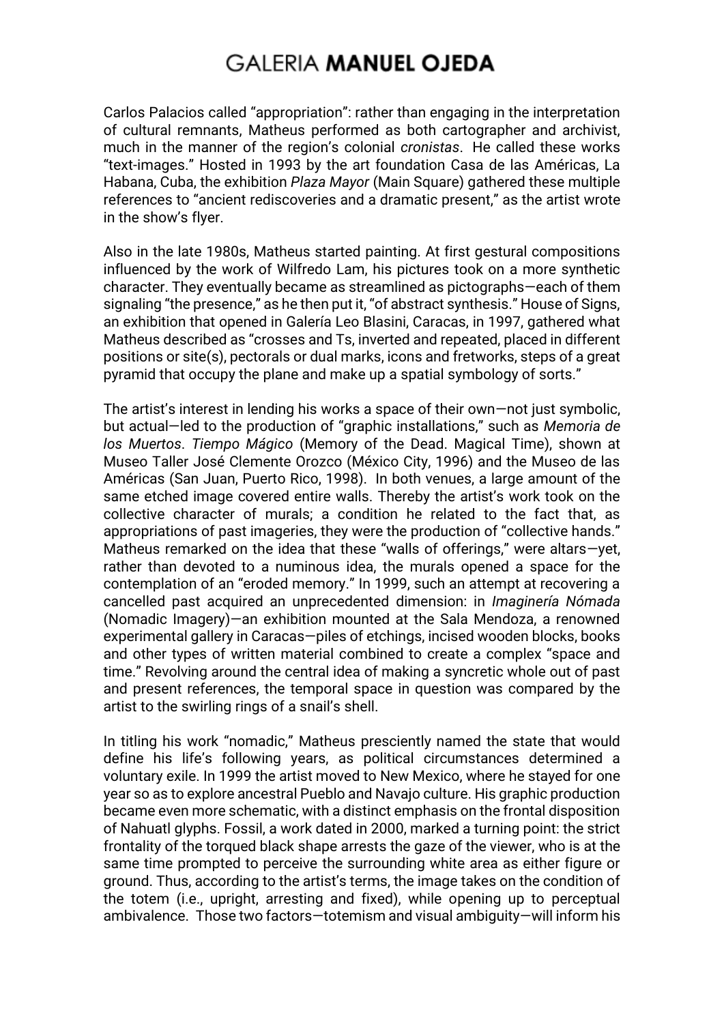Carlos Palacios called "appropriation": rather than engaging in the interpretation of cultural remnants, Matheus performed as both cartographer and archivist, much in the manner of the region's colonial *cronistas*. He called these works "text-images." Hosted in 1993 by the art foundation Casa de las Américas, La Habana, Cuba, the exhibition *Plaza Mayor* (Main Square) gathered these multiple references to "ancient rediscoveries and a dramatic present," as the artist wrote in the show's flyer.

Also in the late 1980s, Matheus started painting. At first gestural compositions influenced by the work of Wilfredo Lam, his pictures took on a more synthetic character. They eventually became as streamlined as pictographs—each of them signaling "the presence," as he then put it, "of abstract synthesis." House of Signs, an exhibition that opened in Galería Leo Blasini, Caracas, in 1997, gathered what Matheus described as "crosses and Ts, inverted and repeated, placed in different positions or site(s), pectorals or dual marks, icons and fretworks, steps of a great pyramid that occupy the plane and make up a spatial symbology of sorts."

The artist's interest in lending his works a space of their own—not just symbolic, but actual—led to the production of "graphic installations," such as *Memoria de los Muertos*. *Tiempo Mágico* (Memory of the Dead. Magical Time), shown at Museo Taller José Clemente Orozco (México City, 1996) and the Museo de las Américas (San Juan, Puerto Rico, 1998). In both venues, a large amount of the same etched image covered entire walls. Thereby the artist's work took on the collective character of murals; a condition he related to the fact that, as appropriations of past imageries, they were the production of "collective hands." Matheus remarked on the idea that these "walls of offerings," were altars—yet, rather than devoted to a numinous idea, the murals opened a space for the contemplation of an "eroded memory." In 1999, such an attempt at recovering a cancelled past acquired an unprecedented dimension: in *Imaginería Nómada* (Nomadic Imagery)—an exhibition mounted at the Sala Mendoza, a renowned experimental gallery in Caracas—piles of etchings, incised wooden blocks, books and other types of written material combined to create a complex "space and time." Revolving around the central idea of making a syncretic whole out of past and present references, the temporal space in question was compared by the artist to the swirling rings of a snail's shell.

In titling his work "nomadic," Matheus presciently named the state that would define his life's following years, as political circumstances determined a voluntary exile. In 1999 the artist moved to New Mexico, where he stayed for one year so as to explore ancestral Pueblo and Navajo culture. His graphic production became even more schematic, with a distinct emphasis on the frontal disposition of Nahuatl glyphs. Fossil, a work dated in 2000, marked a turning point: the strict frontality of the torqued black shape arrests the gaze of the viewer, who is at the same time prompted to perceive the surrounding white area as either figure or ground. Thus, according to the artist's terms, the image takes on the condition of the totem (i.e., upright, arresting and fixed), while opening up to perceptual ambivalence. Those two factors—totemism and visual ambiguity—will inform his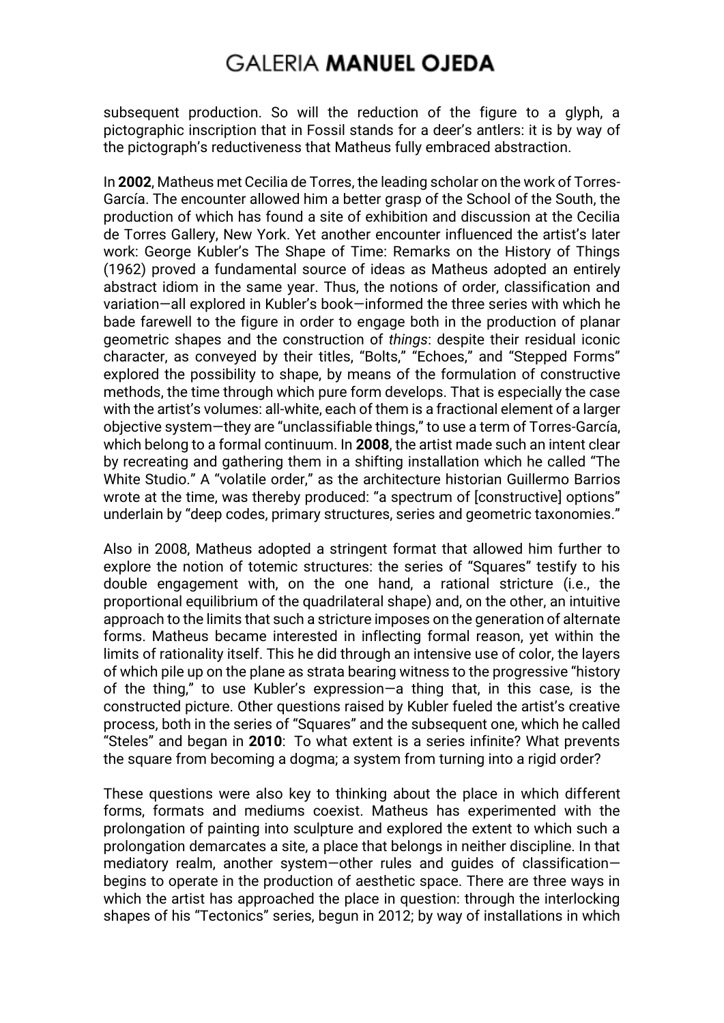subsequent production. So will the reduction of the figure to a glyph, a pictographic inscription that in Fossil stands for a deer's antlers: it is by way of the pictograph's reductiveness that Matheus fully embraced abstraction.

In **2002**, Matheus met Cecilia de Torres, the leading scholar on the work of Torres-García. The encounter allowed him a better grasp of the School of the South, the production of which has found a site of exhibition and discussion at the Cecilia de Torres Gallery, New York. Yet another encounter influenced the artist's later work: George Kubler's The Shape of Time: Remarks on the History of Things (1962) proved a fundamental source of ideas as Matheus adopted an entirely abstract idiom in the same year. Thus, the notions of order, classification and variation—all explored in Kubler's book—informed the three series with which he bade farewell to the figure in order to engage both in the production of planar geometric shapes and the construction of *things*: despite their residual iconic character, as conveyed by their titles, "Bolts," "Echoes," and "Stepped Forms" explored the possibility to shape, by means of the formulation of constructive methods, the time through which pure form develops. That is especially the case with the artist's volumes: all-white, each of them is a fractional element of a larger objective system—they are "unclassifiable things," to use a term of Torres-García, which belong to a formal continuum. In **2008**, the artist made such an intent clear by recreating and gathering them in a shifting installation which he called "The White Studio." A "volatile order," as the architecture historian Guillermo Barrios wrote at the time, was thereby produced: "a spectrum of [constructive] options" underlain by "deep codes, primary structures, series and geometric taxonomies."

Also in 2008, Matheus adopted a stringent format that allowed him further to explore the notion of totemic structures: the series of "Squares" testify to his double engagement with, on the one hand, a rational stricture (i.e., the proportional equilibrium of the quadrilateral shape) and, on the other, an intuitive approach to the limits that such a stricture imposes on the generation of alternate forms. Matheus became interested in inflecting formal reason, yet within the limits of rationality itself. This he did through an intensive use of color, the layers of which pile up on the plane as strata bearing witness to the progressive "history of the thing," to use Kubler's expression—a thing that, in this case, is the constructed picture. Other questions raised by Kubler fueled the artist's creative process, both in the series of "Squares" and the subsequent one, which he called "Steles" and began in **2010**: To what extent is a series infinite? What prevents the square from becoming a dogma; a system from turning into a rigid order?

These questions were also key to thinking about the place in which different forms, formats and mediums coexist. Matheus has experimented with the prolongation of painting into sculpture and explored the extent to which such a prolongation demarcates a site, a place that belongs in neither discipline. In that mediatory realm, another system—other rules and guides of classification begins to operate in the production of aesthetic space. There are three ways in which the artist has approached the place in question: through the interlocking shapes of his "Tectonics" series, begun in 2012; by way of installations in which